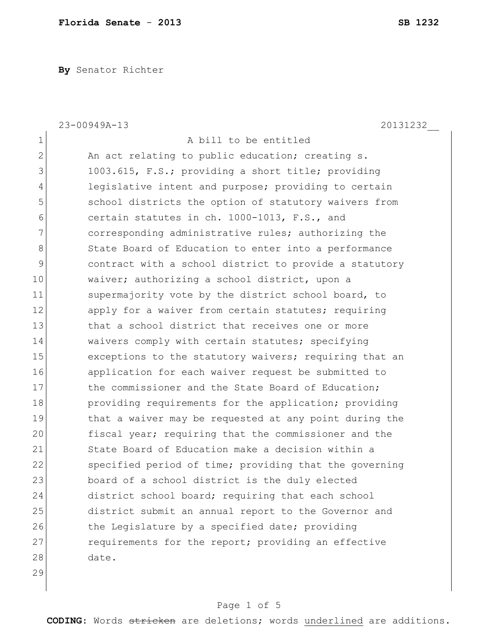**By** Senator Richter

|              | 23-00949A-13<br>20131232                               |
|--------------|--------------------------------------------------------|
| $\mathbf 1$  | A bill to be entitled                                  |
| $\mathbf{2}$ | An act relating to public education; creating s.       |
| 3            | 1003.615, F.S.; providing a short title; providing     |
| 4            | legislative intent and purpose; providing to certain   |
| 5            | school districts the option of statutory waivers from  |
| 6            | certain statutes in ch. 1000-1013, F.S., and           |
| 7            | corresponding administrative rules; authorizing the    |
| 8            | State Board of Education to enter into a performance   |
| 9            | contract with a school district to provide a statutory |
| 10           | waiver; authorizing a school district, upon a          |
| 11           | supermajority vote by the district school board, to    |
| 12           | apply for a waiver from certain statutes; requiring    |
| 13           | that a school district that receives one or more       |
| 14           | waivers comply with certain statutes; specifying       |
| 15           | exceptions to the statutory waivers; requiring that an |
| 16           | application for each waiver request be submitted to    |
| 17           | the commissioner and the State Board of Education;     |
| 18           | providing requirements for the application; providing  |
| 19           | that a waiver may be requested at any point during the |
| 20           | fiscal year; requiring that the commissioner and the   |
| 21           | State Board of Education make a decision within a      |
| 22           | specified period of time; providing that the governing |
| 23           | board of a school district is the duly elected         |
| 24           | district school board; requiring that each school      |
| 25           | district submit an annual report to the Governor and   |
| 26           | the Legislature by a specified date; providing         |
| 27           | requirements for the report; providing an effective    |
| 28           | date.                                                  |
| 29           |                                                        |

## Page 1 of 5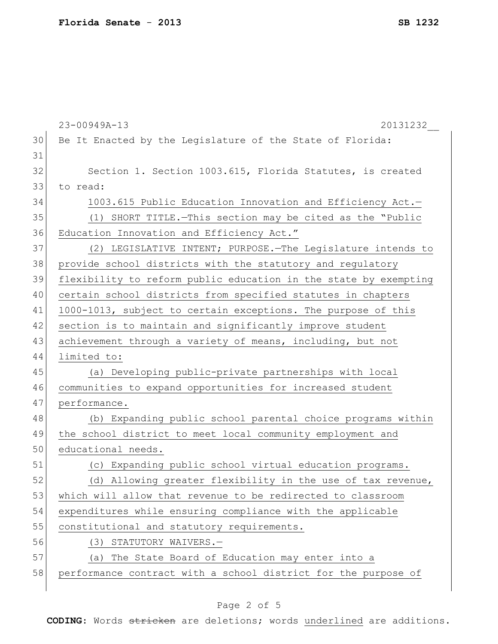|    | 23-00949A-13<br>20131232                                         |
|----|------------------------------------------------------------------|
| 30 | Be It Enacted by the Legislature of the State of Florida:        |
| 31 |                                                                  |
| 32 | Section 1. Section 1003.615, Florida Statutes, is created        |
| 33 | to read:                                                         |
| 34 | 1003.615 Public Education Innovation and Efficiency Act.-        |
| 35 | (1) SHORT TITLE. - This section may be cited as the "Public      |
| 36 | Education Innovation and Efficiency Act."                        |
| 37 | (2) LEGISLATIVE INTENT; PURPOSE. The Legislature intends to      |
| 38 | provide school districts with the statutory and regulatory       |
| 39 | flexibility to reform public education in the state by exempting |
| 40 | certain school districts from specified statutes in chapters     |
| 41 | 1000-1013, subject to certain exceptions. The purpose of this    |
| 42 | section is to maintain and significantly improve student         |
| 43 | achievement through a variety of means, including, but not       |
| 44 | limited to:                                                      |
| 45 | (a) Developing public-private partnerships with local            |
| 46 | communities to expand opportunities for increased student        |
| 47 | performance.                                                     |
| 48 | (b) Expanding public school parental choice programs within      |
| 49 | the school district to meet local community employment and       |
| 50 | educational needs.                                               |
| 51 | (c) Expanding public school virtual education programs.          |
| 52 | (d) Allowing greater flexibility in the use of tax revenue,      |
| 53 | which will allow that revenue to be redirected to classroom      |
| 54 | expenditures while ensuring compliance with the applicable       |
| 55 | constitutional and statutory requirements.                       |
| 56 | (3) STATUTORY WAIVERS.-                                          |
| 57 | (a) The State Board of Education may enter into a                |
| 58 | performance contract with a school district for the purpose of   |
|    |                                                                  |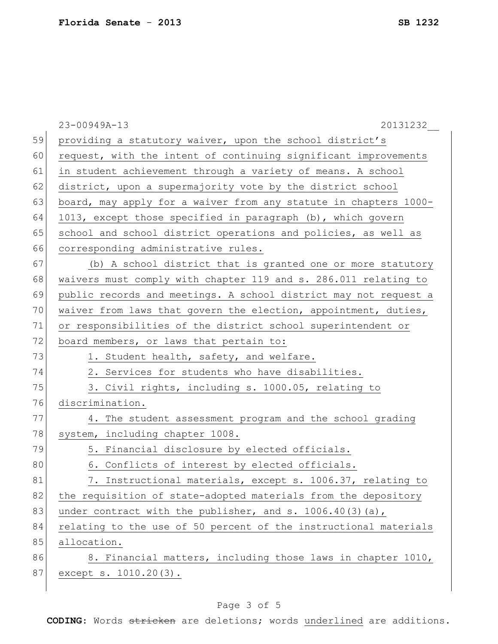|    | 23-00949A-13<br>20131232                                         |
|----|------------------------------------------------------------------|
| 59 | providing a statutory waiver, upon the school district's         |
| 60 | request, with the intent of continuing significant improvements  |
| 61 | in student achievement through a variety of means. A school      |
| 62 | district, upon a supermajority vote by the district school       |
| 63 | board, may apply for a waiver from any statute in chapters 1000- |
| 64 | 1013, except those specified in paragraph (b), which govern      |
| 65 | school and school district operations and policies, as well as   |
| 66 | corresponding administrative rules.                              |
| 67 | (b) A school district that is granted one or more statutory      |
| 68 | waivers must comply with chapter 119 and s. 286.011 relating to  |
| 69 | public records and meetings. A school district may not request a |
| 70 | waiver from laws that govern the election, appointment, duties,  |
| 71 | or responsibilities of the district school superintendent or     |
| 72 | board members, or laws that pertain to:                          |
| 73 | 1. Student health, safety, and welfare.                          |
| 74 | 2. Services for students who have disabilities.                  |
| 75 | 3. Civil rights, including s. 1000.05, relating to               |
| 76 | discrimination.                                                  |
| 77 | 4. The student assessment program and the school grading         |
| 78 | system, including chapter 1008.                                  |
| 79 | 5. Financial disclosure by elected officials.                    |
| 80 | 6. Conflicts of interest by elected officials.                   |
| 81 | 7. Instructional materials, except s. 1006.37, relating to       |
| 82 | the requisition of state-adopted materials from the depository   |
| 83 | under contract with the publisher, and s. $1006.40(3)(a)$ ,      |
| 84 | relating to the use of 50 percent of the instructional materials |
| 85 | allocation.                                                      |
| 86 | 8. Financial matters, including those laws in chapter 1010,      |
| 87 | except s. 1010.20(3).                                            |
|    |                                                                  |

## Page 3 of 5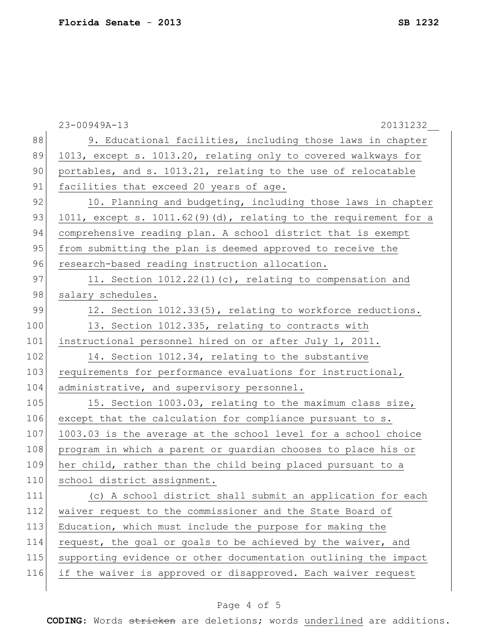|     | 23-00949A-13<br>20131232                                         |
|-----|------------------------------------------------------------------|
| 88  | 9. Educational facilities, including those laws in chapter       |
| 89  | 1013, except s. 1013.20, relating only to covered walkways for   |
| 90  | portables, and s. 1013.21, relating to the use of relocatable    |
| 91  | facilities that exceed 20 years of age.                          |
| 92  | 10. Planning and budgeting, including those laws in chapter      |
| 93  | 1011, except s. 1011.62(9)(d), relating to the requirement for a |
| 94  | comprehensive reading plan. A school district that is exempt     |
| 95  | from submitting the plan is deemed approved to receive the       |
| 96  | research-based reading instruction allocation.                   |
| 97  | 11. Section $1012.22(1)(c)$ , relating to compensation and       |
| 98  | salary schedules.                                                |
| 99  | 12. Section 1012.33(5), relating to workforce reductions.        |
| 100 | 13. Section 1012.335, relating to contracts with                 |
| 101 | instructional personnel hired on or after July 1, 2011.          |
| 102 | 14. Section 1012.34, relating to the substantive                 |
| 103 | requirements for performance evaluations for instructional,      |
| 104 | administrative, and supervisory personnel.                       |
| 105 | 15. Section 1003.03, relating to the maximum class size,         |
| 106 | except that the calculation for compliance pursuant to s.        |
| 107 | 1003.03 is the average at the school level for a school choice   |
| 108 | program in which a parent or guardian chooses to place his or    |
| 109 | her child, rather than the child being placed pursuant to a      |
| 110 | school district assignment.                                      |
| 111 | (c) A school district shall submit an application for each       |
| 112 | waiver request to the commissioner and the State Board of        |
| 113 | Education, which must include the purpose for making the         |
| 114 | request, the goal or goals to be achieved by the waiver, and     |
| 115 | supporting evidence or other documentation outlining the impact  |
| 116 | if the waiver is approved or disapproved. Each waiver request    |
|     |                                                                  |

## Page 4 of 5